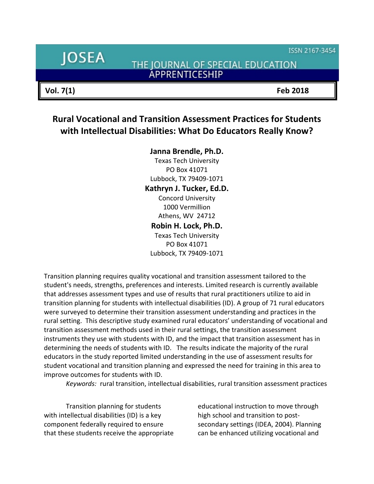ISSN 2167-3454

# **JOSEA**

**Vol. 7(1) Feb 2018**

THE JOURNAL OF SPECIAL EDUCATION **ÁPPRENTICESHIP** 

# **Rural Vocational and Transition Assessment Practices for Students with Intellectual Disabilities: What Do Educators Really Know?**

**Janna Brendle, Ph.D.** Texas Tech University PO Box 41071 Lubbock, TX 79409-1071 **Kathryn J. Tucker, Ed.D.** Concord University 1000 Vermillion Athens, WV 24712 **Robin H. Lock, Ph.D.** Texas Tech University PO Box 41071 Lubbock, TX 79409-1071

Transition planning requires quality vocational and transition assessment tailored to the student's needs, strengths, preferences and interests. Limited research is currently available that addresses assessment types and use of results that rural practitioners utilize to aid in transition planning for students with intellectual disabilities (ID). A group of 71 rural educators were surveyed to determine their transition assessment understanding and practices in the rural setting. This descriptive study examined rural educators' understanding of vocational and transition assessment methods used in their rural settings, the transition assessment instruments they use with students with ID, and the impact that transition assessment has in determining the needs of students with ID. The results indicate the majority of the rural educators in the study reported limited understanding in the use of assessment results for student vocational and transition planning and expressed the need for training in this area to improve outcomes for students with ID.

*Keywords:* rural transition, intellectual disabilities, rural transition assessment practices

Transition planning for students with intellectual disabilities (ID) is a key component federally required to ensure that these students receive the appropriate educational instruction to move through high school and transition to postsecondary settings (IDEA, 2004). Planning can be enhanced utilizing vocational and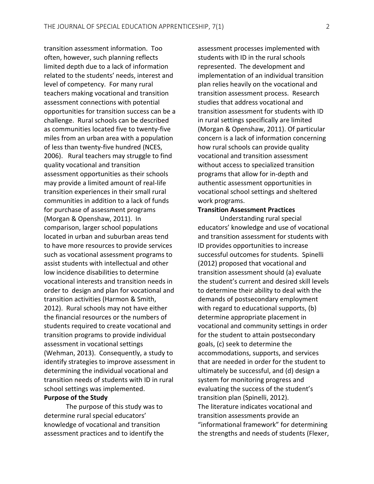transition assessment information. Too often, however, such planning reflects limited depth due to a lack of information related to the students' needs, interest and level of competency. For many rural teachers making vocational and transition assessment connections with potential opportunities for transition success can be a challenge. Rural schools can be described as communities located five to twenty-five miles from an urban area with a population of less than twenty-five hundred (NCES, 2006). Rural teachers may struggle to find quality vocational and transition assessment opportunities as their schools may provide a limited amount of real-life transition experiences in their small rural communities in addition to a lack of funds for purchase of assessment programs (Morgan & Openshaw, 2011). In comparison, larger school populations located in urban and suburban areas tend to have more resources to provide services such as vocational assessment programs to assist students with intellectual and other low incidence disabilities to determine vocational interests and transition needs in order to design and plan for vocational and transition activities (Harmon & Smith, 2012). Rural schools may not have either the financial resources or the numbers of students required to create vocational and transition programs to provide individual assessment in vocational settings (Wehman, 2013). Consequently, a study to identify strategies to improve assessment in determining the individual vocational and transition needs of students with ID in rural school settings was implemented.

### **Purpose of the Study**

The purpose of this study was to determine rural special educators' knowledge of vocational and transition assessment practices and to identify the

assessment processes implemented with students with ID in the rural schools represented. The development and implementation of an individual transition plan relies heavily on the vocational and transition assessment process. Research studies that address vocational and transition assessment for students with ID in rural settings specifically are limited (Morgan & Openshaw, 2011). Of particular concern is a lack of information concerning how rural schools can provide quality vocational and transition assessment without access to specialized transition programs that allow for in-depth and authentic assessment opportunities in vocational school settings and sheltered work programs.

# **Transition Assessment Practices**

Understanding rural special educators' knowledge and use of vocational and transition assessment for students with ID provides opportunities to increase successful outcomes for students. Spinelli (2012) proposed that vocational and transition assessment should (a) evaluate the student's current and desired skill levels to determine their ability to deal with the demands of postsecondary employment with regard to educational supports, (b) determine appropriate placement in vocational and community settings in order for the student to attain postsecondary goals, (c) seek to determine the accommodations, supports, and services that are needed in order for the student to ultimately be successful, and (d) design a system for monitoring progress and evaluating the success of the student's transition plan (Spinelli, 2012). The literature indicates vocational and transition assessments provide an "informational framework" for determining the strengths and needs of students (Flexer,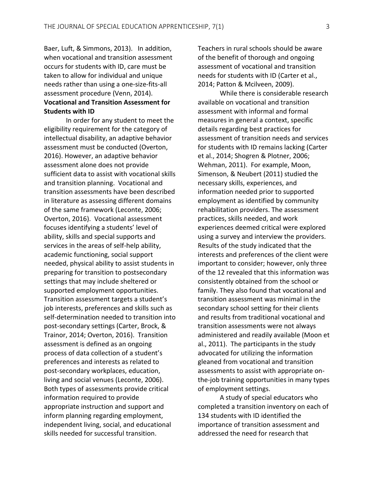Baer, Luft, & Simmons, 2013).In addition, when vocational and transition assessment occurs for students with ID, care must be taken to allow for individual and unique needs rather than using a one-size-fits-all assessment procedure (Venn, 2014). **Vocational and Transition Assessment for Students with ID**

In order for any student to meet the eligibility requirement for the category of intellectual disability, an adaptive behavior assessment must be conducted (Overton, 2016). However, an adaptive behavior assessment alone does not provide sufficient data to assist with vocational skills and transition planning. Vocational and transition assessments have been described in literature as assessing different domains of the same framework (Leconte, 2006; Overton, 2016). Vocational assessment focuses identifying a students' level of ability, skills and special supports and services in the areas of self-help ability, academic functioning, social support needed, physical ability to assist students in preparing for transition to postsecondary settings that may include sheltered or supported employment opportunities. Transition assessment targets a student's job interests, preferences and skills such as self-determination needed to transition into post-secondary settings (Carter, Brock, & Trainor, 2014; Overton, 2016). Transition assessment is defined as an ongoing process of data collection of a student's preferences and interests as related to post-secondary workplaces, education, living and social venues (Leconte, 2006). Both types of assessments provide critical information required to provide appropriate instruction and support and inform planning regarding employment, independent living, social, and educational skills needed for successful transition.

Teachers in rural schools should be aware of the benefit of thorough and ongoing assessment of vocational and transition needs for students with ID (Carter et al., 2014; Patton & Mcilveen, 2009).

While there is considerable research available on vocational and transition assessment with informal and formal measures in general a context, specific details regarding best practices for assessment of transition needs and services for students with ID remains lacking (Carter et al., 2014; Shogren & Plotner, 2006; Wehman, 2011). For example, Moon, Simenson, & Neubert (2011) studied the necessary skills, experiences, and information needed prior to supported employment as identified by community rehabilitation providers. The assessment practices, skills needed, and work experiences deemed critical were explored using a survey and interview the providers. Results of the study indicated that the interests and preferences of the client were important to consider; however, only three of the 12 revealed that this information was consistently obtained from the school or family. They also found that vocational and transition assessment was minimal in the secondary school setting for their clients and results from traditional vocational and transition assessments were not always administered and readily available (Moon et al., 2011). The participants in the study advocated for utilizing the information gleaned from vocational and transition assessments to assist with appropriate onthe-job training opportunities in many types of employment settings.

A study of special educators who completed a transition inventory on each of 134 students with ID identified the importance of transition assessment and addressed the need for research that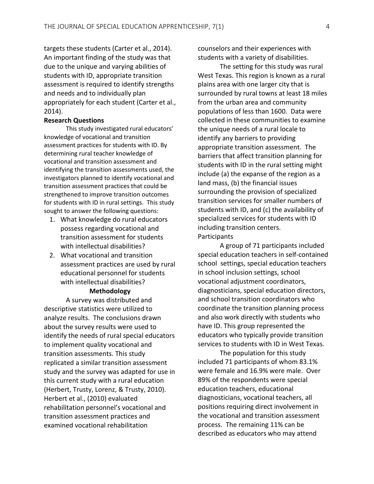targets these students (Carter et al., 2014). An important finding of the study was that due to the unique and varying abilities of students with ID, appropriate transition assessment is required to identify strengths and needs and to individually plan appropriately for each student (Carter et al., 2014).

#### **Research Questions**

This study investigated rural educators' knowledge of vocational and transition assessment practices for students with ID. By determining rural teacher knowledge of vocational and transition assessment and identifying the transition assessments used, the investigators planned to identify vocational and transition assessment practices that could be strengthened to improve transition outcomes for students with ID in rural settings. This study sought to answer the following questions:

- 1. What knowledge do rural educators possess regarding vocational and transition assessment for students with intellectual disabilities?
- 2. What vocational and transition assessment practices are used by rural educational personnel for students with intellectual disabilities?

#### **Methodology**

A survey was distributed and descriptive statistics were utilized to analyze results. The conclusions drawn about the survey results were used to identify the needs of rural special educators to implement quality vocational and transition assessments. This study replicated a similar transition assessment study and the survey was adapted for use in this current study with a rural education (Herbert, Trusty, Lorenz, & Trusty, 2010). Herbert et al., (2010) evaluated rehabilitation personnel's vocational and transition assessment practices and examined vocational rehabilitation

counselors and their experiences with students with a variety of disabilities.

The setting for this study was rural West Texas. This region is known as a rural plains area with one larger city that is surrounded by rural towns at least 18 miles from the urban area and community populations of less than 1600. Data were collected in these communities to examine the unique needs of a rural locale to identify any barriers to providing appropriate transition assessment. The barriers that affect transition planning for students with ID in the rural setting might include (a) the expanse of the region as a land mass, (b) the financial issues surrounding the provision of specialized transition services for smaller numbers of students with ID, and (c) the availability of specialized services for students with ID including transition centers. Participants

A group of 71 participants included special education teachers in self-contained school settings, special education teachers in school inclusion settings, school vocational adjustment coordinators, diagnosticians, special education directors, and school transition coordinators who coordinate the transition planning process and also work directly with students who have ID. This group represented the educators who typically provide transition services to students with ID in West Texas.

The population for this study included 71 participants of whom 83.1% were female and 16.9% were male. Over 89% of the respondents were special education teachers, educational diagnosticians, vocational teachers, all positions requiring direct involvement in the vocational and transition assessment process. The remaining 11% can be described as educators who may attend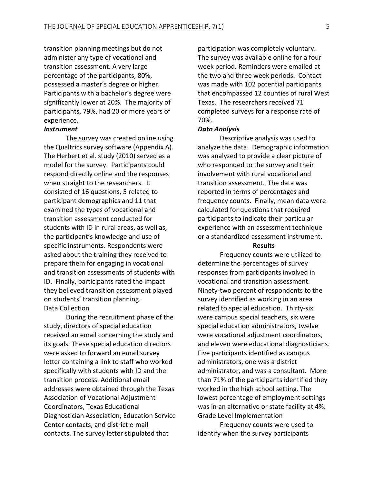transition planning meetings but do not administer any type of vocational and transition assessment. A very large percentage of the participants, 80%, possessed a master's degree or higher. Participants with a bachelor's degree were significantly lower at 20%. The majority of participants, 79%, had 20 or more years of experience.

# *Instrument*

The survey was created online using the Qualtrics survey software (Appendix A). The Herbert et al. study (2010) served as a model for the survey. Participants could respond directly online and the responses when straight to the researchers. It consisted of 16 questions, 5 related to participant demographics and 11 that examined the types of vocational and transition assessment conducted for students with ID in rural areas, as well as, the participant's knowledge and use of specific instruments. Respondents were asked about the training they received to prepare them for engaging in vocational and transition assessments of students with ID. Finally, participants rated the impact they believed transition assessment played on students' transition planning. Data Collection

During the recruitment phase of the study, directors of special education received an email concerning the study and its goals. These special education directors were asked to forward an email survey letter containing a link to staff who worked specifically with students with ID and the transition process. Additional email addresses were obtained through the Texas Association of Vocational Adjustment Coordinators, Texas Educational Diagnostician Association, Education Service Center contacts, and district e-mail contacts. The survey letter stipulated that

participation was completely voluntary. The survey was available online for a four week period. Reminders were emailed at the two and three week periods. Contact was made with 102 potential participants that encompassed 12 counties of rural West Texas. The researchers received 71 completed surveys for a response rate of 70%.

#### *Data Analysis*

Descriptive analysis was used to analyze the data. Demographic information was analyzed to provide a clear picture of who responded to the survey and their involvement with rural vocational and transition assessment. The data was reported in terms of percentages and frequency counts. Finally, mean data were calculated for questions that required participants to indicate their particular experience with an assessment technique or a standardized assessment instrument.

#### **Results**

Frequency counts were utilized to determine the percentages of survey responses from participants involved in vocational and transition assessment. Ninety-two percent of respondents to the survey identified as working in an area related to special education. Thirty-six were campus special teachers, six were special education administrators, twelve were vocational adjustment coordinators, and eleven were educational diagnosticians. Five participants identified as campus administrators, one was a district administrator, and was a consultant. More than 71% of the participants identified they worked in the high school setting. The lowest percentage of employment settings was in an alternative or state facility at 4%. Grade Level Implementation

Frequency counts were used to identify when the survey participants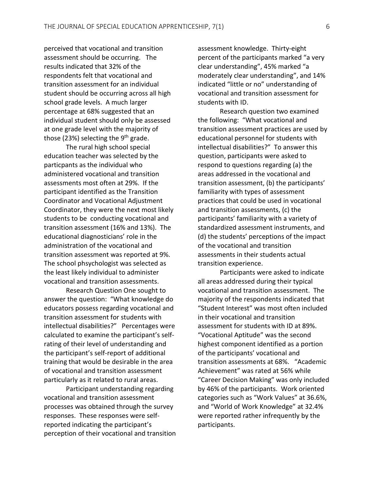perceived that vocational and transition assessment should be occurring. The results indicated that 32% of the respondents felt that vocational and transition assessment for an individual student should be occurring across all high school grade levels. A much larger percentage at 68% suggested that an individual student should only be assessed at one grade level with the majority of those (23%) selecting the  $9<sup>th</sup>$  grade.

The rural high school special education teacher was selected by the particpants as the individual who administered vocational and transition assessments most often at 29%. If the participant identified as the Transition Coordinator and Vocational Adjustment Coordinator, they were the next most likely students to be conducting vocational and transition assessment (16% and 13%). The educational diagnosticians' role in the administration of the vocational and transition assessment was reported at 9%. The school phsychologist was selected as the least likely individual to administer vocational and transition assessments.

Research Question One sought to answer the question: "What knowledge do educators possess regarding vocational and transition assessment for students with intellectual disabilities?" Percentages were calculated to examine the participant's selfrating of their level of understanding and the participant's self-report of additional training that would be desirable in the area of vocational and transition assessment particularly as it related to rural areas.

Participant understanding regarding vocational and transition assessment processes was obtained through the survey responses. These responses were selfreported indicating the participant's perception of their vocational and transition

assessment knowledge. Thirty-eight percent of the participants marked "a very clear understanding", 45% marked "a moderately clear understanding", and 14% indicated "little or no" understanding of vocational and transition assessment for students with ID.

Research question two examined the following: "What vocational and transition assessment practices are used by educational personnel for students with intellectual disabilities?" To answer this question, participants were asked to respond to questions regarding (a) the areas addressed in the vocational and transition assessment, (b) the participants' familiarity with types of assessment practices that could be used in vocational and transition assessments, (c) the participants' familiarity with a variety of standardized assessment instruments, and (d) the students' perceptions of the impact of the vocational and transition assessments in their students actual transition experience.

Participants were asked to indicate all areas addressed during their typical vocational and transition assessment. The majority of the respondents indicated that "Student Interest" was most often included in their vocational and transition assessment for students with ID at 89%. "Vocational Aptitude" was the second highest component identified as a portion of the participants' vocational and transition assessments at 68%. "Academic Achievement" was rated at 56% while "Career Decision Making" was only included by 46% of the participants. Work oriented categories such as "Work Values" at 36.6%, and "World of Work Knowledge" at 32.4% were reported rather infrequently by the participants.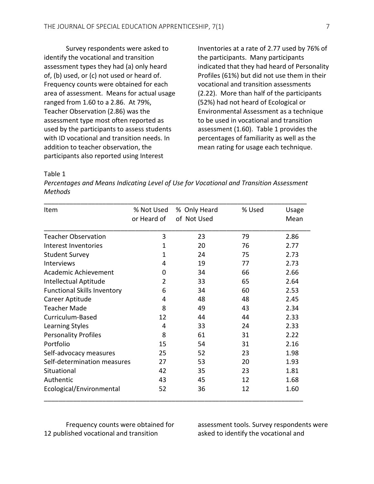Survey respondents were asked to identify the vocational and transition assessment types they had (a) only heard of, (b) used, or (c) not used or heard of. Frequency counts were obtained for each area of assessment. Means for actual usage ranged from 1.60 to a 2.86. At 79%, Teacher Observation (2.86) was the assessment type most often reported as used by the participants to assess students with ID vocational and transition needs. In addition to teacher observation, the participants also reported using Interest

Inventories at a rate of 2.77 used by 76% of the participants. Many participants indicated that they had heard of Personality Profiles (61%) but did not use them in their vocational and transition assessments (2.22). More than half of the participants (52%) had not heard of Ecological or Environmental Assessment as a technique to be used in vocational and transition assessment (1.60). Table 1 provides the percentages of familiarity as well as the mean rating for usage each technique.

Table 1

*Percentages and Means Indicating Level of Use for Vocational and Transition Assessment Methods*

| Item                               | % Not Used  | % Only Heard | % Used | Usage |
|------------------------------------|-------------|--------------|--------|-------|
|                                    | or Heard of | of Not Used  |        | Mean  |
| <b>Teacher Observation</b>         | 3           | 23           | 79     | 2.86  |
| Interest Inventories               | 1           | 20           | 76     | 2.77  |
| <b>Student Survey</b>              | 1           | 24           | 75     | 2.73  |
| Interviews                         | 4           | 19           | 77     | 2.73  |
| Academic Achievement               | 0           | 34           | 66     | 2.66  |
| Intellectual Aptitude              | 2           | 33           | 65     | 2.64  |
| <b>Functional Skills Inventory</b> | 6           | 34           | 60     | 2.53  |
| Career Aptitude                    | 4           | 48           | 48     | 2.45  |
| <b>Teacher Made</b>                | 8           | 49           | 43     | 2.34  |
| Curriculum-Based                   | 12          | 44           | 44     | 2.33  |
| Learning Styles                    | 4           | 33           | 24     | 2.33  |
| <b>Personality Profiles</b>        | 8           | 61           | 31     | 2.22  |
| Portfolio                          | 15          | 54           | 31     | 2.16  |
| Self-advocacy measures             | 25          | 52           | 23     | 1.98  |
| Self-determination measures        | 27          | 53           | 20     | 1.93  |
| Situational                        | 42          | 35           | 23     | 1.81  |
| Authentic                          | 43          | 45           | 12     | 1.68  |
| Ecological/Environmental           | 52          | 36           | 12     | 1.60  |

Frequency counts were obtained for 12 published vocational and transition

assessment tools. Survey respondents were asked to identify the vocational and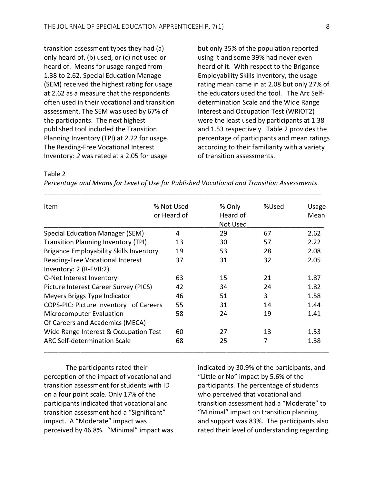transition assessment types they had (a) only heard of, (b) used, or (c) not used or heard of. Means for usage ranged from 1.38 to 2.62. Special Education Manage (SEM) received the highest rating for usage at 2.62 as a measure that the respondents often used in their vocational and transition assessment. The SEM was used by 67% of the participants. The next highest published tool included the Transition Planning Inventory (TPI) at 2.22 for usage. The Reading-Free Vocational Interest Inventory: *2* was rated at a 2.05 for usage

but only 35% of the population reported using it and some 39% had never even heard of it. With respect to the Brigance Employability Skills Inventory, the usage rating mean came in at 2.08 but only 27% of the educators used the tool. The Arc Selfdetermination Scale and the Wide Range Interest and Occupation Test (WRIOT2) were the least used by participants at 1.38 and 1.53 respectively. Table 2 provides the percentage of participants and mean ratings according to their familiarity with a variety of transition assessments.

Table 2

| Percentage and Means for Level of Use for Published Vocational and Transition Assessments |                           |                                |       |               |
|-------------------------------------------------------------------------------------------|---------------------------|--------------------------------|-------|---------------|
| Item                                                                                      | % Not Used<br>or Heard of | % Only<br>Heard of<br>Not Used | %Used | Usage<br>Mean |
| Special Education Manager (SEM)                                                           | 4                         | 29                             | 67    | 2.62          |
| <b>Transition Planning Inventory (TPI)</b>                                                | 13                        | 30                             | 57    | 2.22          |
| <b>Brigance Employability Skills Inventory</b>                                            | 19                        | 53                             | 28    | 2.08          |
| Reading-Free Vocational Interest<br>Inventory: 2 (R-FVII:2)                               | 37                        | 31                             | 32    | 2.05          |
| O-Net Interest Inventory                                                                  | 63                        | 15                             | 21    | 1.87          |
| Picture Interest Career Survey (PICS)                                                     | 42                        | 34                             | 24    | 1.82          |
| Meyers Briggs Type Indicator                                                              | 46                        | 51                             | 3     | 1.58          |
| COPS-PIC: Picture Inventory of Careers                                                    | 55                        | 31                             | 14    | 1.44          |
| Microcomputer Evaluation<br>Of Careers and Academics (MECA)                               | 58                        | 24                             | 19    | 1.41          |
| Wide Range Interest & Occupation Test                                                     | 60                        | 27                             | 13    | 1.53          |
| ARC Self-determination Scale                                                              | 68                        | 25                             |       | 1.38          |

\_\_\_\_\_\_\_\_\_\_\_\_\_\_\_\_\_\_\_\_\_\_\_\_\_\_\_\_\_\_\_\_\_\_\_\_\_\_\_\_\_\_\_\_\_\_\_\_\_\_\_\_\_\_\_\_\_\_\_\_\_\_\_\_\_\_\_\_\_\_\_\_\_\_\_\_\_\_

*Percentage and Means for Level of Use for Published Vocational and Transition Assessments*

The participants rated their perception of the impact of vocational and transition assessment for students with ID on a four point scale. Only 17% of the participants indicated that vocational and transition assessment had a "Significant" impact. A "Moderate" impact was perceived by 46.8%. "Minimal" impact was indicated by 30.9% of the participants, and "Little or No" impact by 5.6% of the participants. The percentage of students who perceived that vocational and transition assessment had a "Moderate" to "Minimal" impact on transition planning and support was 83%. The participants also rated their level of understanding regarding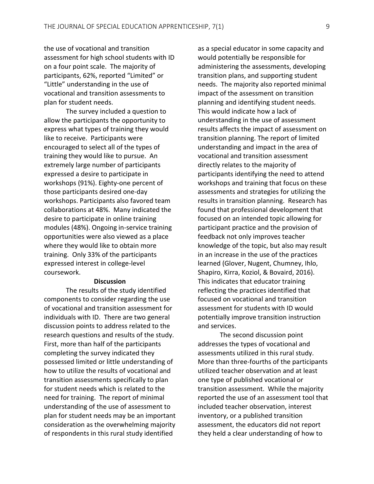the use of vocational and transition assessment for high school students with ID on a four point scale. The majority of participants, 62%, reported "Limited" or "Little" understanding in the use of vocational and transition assessments to plan for student needs.

The survey included a question to allow the participants the opportunity to express what types of training they would like to receive. Participants were encouraged to select all of the types of training they would like to pursue. An extremely large number of participants expressed a desire to participate in workshops (91%). Eighty-one percent of those participants desired one-day workshops. Participants also favored team collaborations at 48%. Many indicated the desire to participate in online training modules (48%). Ongoing in-service training opportunities were also viewed as a place where they would like to obtain more training. Only 33% of the participants expressed interest in college-level coursework.

#### **Discussion**

The results of the study identified components to consider regarding the use of vocational and transition assessment for individuals with ID. There are two general discussion points to address related to the research questions and results of the study. First, more than half of the participants completing the survey indicated they possessed limited or little understanding of how to utilize the results of vocational and transition assessments specifically to plan for student needs which is related to the need for training. The report of minimal understanding of the use of assessment to plan for student needs may be an important consideration as the overwhelming majority of respondents in this rural study identified

as a special educator in some capacity and would potentially be responsible for administering the assessments, developing transition plans, and supporting student needs. The majority also reported minimal impact of the assessment on transition planning and identifying student needs. This would indicate how a lack of understanding in the use of assessment results affects the impact of assessment on transition planning. The report of limited understanding and impact in the area of vocational and transition assessment directly relates to the majority of participants identifying the need to attend workshops and training that focus on these assessments and strategies for utilizing the results in transition planning. Research has found that professional development that focused on an intended topic allowing for participant practice and the provision of feedback not only improves teacher knowledge of the topic, but also may result in an increase in the use of the practices learned (Glover, Nugent, Chumney, Ihlo, Shapiro, Kirra, Koziol, & Bovaird, 2016). This indicates that educator training reflecting the practices identified that focused on vocational and transition assessment for students with ID would potentially improve transition instruction and services.

The second discussion point addresses the types of vocational and assessments utilized in this rural study. More than three-fourths of the participants utilized teacher observation and at least one type of published vocational or transition assessment. While the majority reported the use of an assessment tool that included teacher observation, interest inventory, or a published transition assessment, the educators did not report they held a clear understanding of how to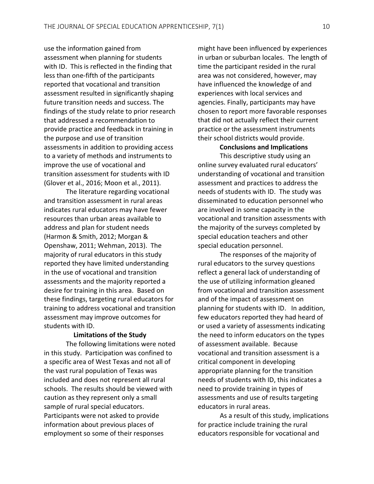use the information gained from assessment when planning for students with ID. This is reflected in the finding that less than one-fifth of the participants reported that vocational and transition assessment resulted in significantly shaping future transition needs and success. The findings of the study relate to prior research that addressed a recommendation to provide practice and feedback in training in the purpose and use of transition assessments in addition to providing access to a variety of methods and instruments to improve the use of vocational and transition assessment for students with ID (Glover et al., 2016; Moon et al., 2011).

The literature regarding vocational and transition assessment in rural areas indicates rural educators may have fewer resources than urban areas available to address and plan for student needs (Harmon & Smith, 2012; Morgan & Openshaw, 2011; Wehman, 2013). The majority of rural educators in this study reported they have limited understanding in the use of vocational and transition assessments and the majority reported a desire for training in this area. Based on these findings, targeting rural educators for training to address vocational and transition assessment may improve outcomes for students with ID.

#### **Limitations of the Study**

The following limitations were noted in this study. Participation was confined to a specific area of West Texas and not all of the vast rural population of Texas was included and does not represent all rural schools. The results should be viewed with caution as they represent only a small sample of rural special educators. Participants were not asked to provide information about previous places of employment so some of their responses

might have been influenced by experiences in urban or suburban locales. The length of time the participant resided in the rural area was not considered, however, may have influenced the knowledge of and experiences with local services and agencies. Finally, participants may have chosen to report more favorable responses that did not actually reflect their current practice or the assessment instruments their school districts would provide.

#### **Conclusions and Implications**

This descriptive study using an online survey evaluated rural educators' understanding of vocational and transition assessment and practices to address the needs of students with ID. The study was disseminated to education personnel who are involved in some capacity in the vocational and transition assessments with the majority of the surveys completed by special education teachers and other special education personnel.

The responses of the majority of rural educators to the survey questions reflect a general lack of understanding of the use of utilizing information gleaned from vocational and transition assessment and of the impact of assessment on planning for students with ID. In addition, few educators reported they had heard of or used a variety of assessments indicating the need to inform educators on the types of assessment available. Because vocational and transition assessment is a critical component in developing appropriate planning for the transition needs of students with ID, this indicates a need to provide training in types of assessments and use of results targeting educators in rural areas.

As a result of this study, implications for practice include training the rural educators responsible for vocational and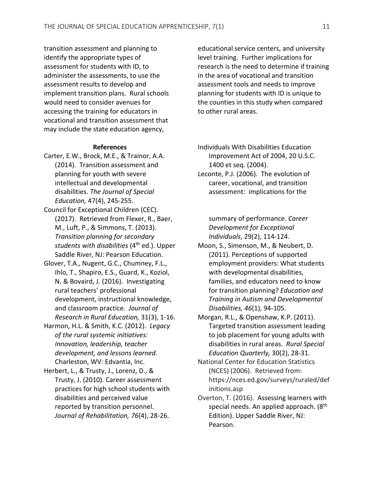transition assessment and planning to identify the appropriate types of assessment for students with ID, to administer the assessments, to use the assessment results to develop and implement transition plans. Rural schools would need to consider avenues for accessing the training for educators in vocational and transition assessment that may include the state education agency,

#### **References**

- Carter, E.W., Brock, M.E., & Trainor, A.A. (2014). Transition assessment and planning for youth with severe intellectual and developmental disabilities. *The Journal of Special Education,* 47(4), 245-255.
- Council for Exceptional Children (CEC). (2017). Retrieved from Flexer, R., Baer, M., Luft, P., & Simmons, T. (2013). *Transition planning for secondary students with disabilities* (4th ed.). Upper Saddle River, NJ: Pearson Education.
- Glover, T.A., Nugent, G.C., Chumney, F.L., Ihlo, T., Shapiro, E.S., Guard, K., Koziol, N. & Bovaird, J. (2016). Investigating rural teachers' professional development, instructional knowledge, and classroom practice. *Journal of Research in Rural Education,* 31(3), 1-16.
- Harmon, H.L. & Smith, K.C. (2012). *Legacy of the rural systemic initiatives: Innovation, leadership, teacher development, and lessons learned.*  Charleston, WV: Edvantia, Inc.
- Herbert, L., & Trusty, J., Lorenz, D., & Trusty, J. (2010). Career assessment practices for high school students with disabilities and perceived value reported by transition personnel. *Journal of Rehabilitation, 76*(4), 28-26.

educational service centers, and university level training. Further implications for research is the need to determine if training in the area of vocational and transition assessment tools and needs to improve planning for students with ID is unique to the counties in this study when compared to other rural areas.

- Individuals With Disabilities Education Improvement Act of 2004, 20 U.S.C. 1400 et seq. (2004).
- Leconte, P.J. (2006). The evolution of career, vocational, and transition assessment: implications for the

summary of performance. *Career Development for Exceptional Individuals*, 29(2), 114-124.

- Moon, S., Simenson, M., & Neubert, D. (2011). Perceptions of supported employment providers: What students with developmental disabilities, families, and educators need to know for transition planning? *Education and Training in Autism and Developmental Disabilities, 46*(1), 94-105.
- Morgan, R.L., & Openshaw, K.P. (2011). Targeted transition assessment leading to job placement for young adults with disabilities in rural areas. *Rural Special Education Quarterly,* 30(2), 28-31.
- National Center for Education Statistics (NCES) (2006). Retrieved from: https://nces.ed.gov/surveys/ruraled/def initions.asp
- Overton, T. (2016). Assessing learners with special needs. An applied approach. (8<sup>th</sup> Edition). Upper Saddle River, NJ: Pearson.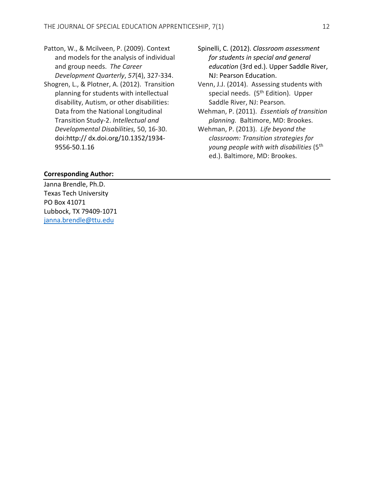- Patton, W., & Mcilveen, P. (2009). Context and models for the analysis of individual and group needs. *The Career Development Quarterly*, *57*(4), 327-334.
- Shogren, L., & Plotner, A. (2012). Transition planning for students with intellectual disability, Autism, or other disabilities: Data from the National Longitudinal Transition Study-2. *Intellectual and Developmental Disabilities,* 50, 16-30. doi:http:// dx.doi.org/10.1352/1934- 9556-50.1.16

#### **Corresponding Author:**

Janna Brendle, Ph.D. Texas Tech University PO Box 41071 Lubbock, TX 79409-1071 [janna.brendle@ttu.edu](mailto:janna.brendle@ttu.edu)

- Spinelli, C. (2012). *Classroom assessment for students in special and general education* (3rd ed.). Upper Saddle River, NJ: Pearson Education.
- Venn, J.J. (2014). Assessing students with special needs. (5<sup>th</sup> Edition). Upper Saddle River, NJ: Pearson.
- Wehman, P. (2011). *Essentials of transition planning.* Baltimore, MD: Brookes.
- Wehman, P. (2013). *Life beyond the classroom: Transition strategies for young people with with disabilities* (5th ed.). Baltimore, MD: Brookes.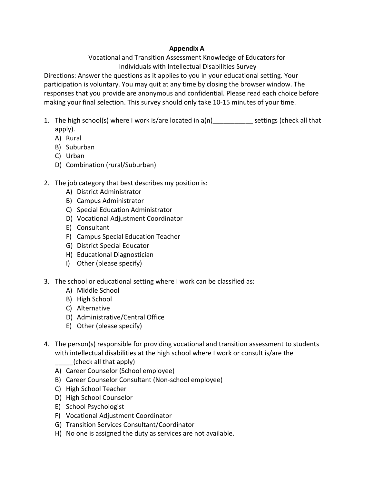# **Appendix A**

Vocational and Transition Assessment Knowledge of Educators for Individuals with Intellectual Disabilities Survey

Directions: Answer the questions as it applies to you in your educational setting. Your participation is voluntary. You may quit at any time by closing the browser window. The responses that you provide are anonymous and confidential. Please read each choice before making your final selection. This survey should only take 10-15 minutes of your time.

- 1. The high school(s) where I work is/are located in  $a(n)$  \_\_\_\_\_\_\_\_\_\_\_\_\_ settings (check all that apply).
	- A) Rural
	- B) Suburban
	- C) Urban
	- D) Combination (rural/Suburban)
- 2. The job category that best describes my position is:
	- A) District Administrator
	- B) Campus Administrator
	- C) Special Education Administrator
	- D) Vocational Adjustment Coordinator
	- E) Consultant
	- F) Campus Special Education Teacher
	- G) District Special Educator
	- H) Educational Diagnostician
	- I) Other (please specify)
- 3. The school or educational setting where I work can be classified as:
	- A) Middle School
	- B) High School
	- C) Alternative
	- D) Administrative/Central Office
	- E) Other (please specify)
- 4. The person(s) responsible for providing vocational and transition assessment to students with intellectual disabilities at the high school where I work or consult is/are the

\_\_\_\_\_(check all that apply)

- A) Career Counselor (School employee)
- B) Career Counselor Consultant (Non-school employee)
- C) High School Teacher
- D) High School Counselor
- E) School Psychologist
- F) Vocational Adjustment Coordinator
- G) Transition Services Consultant/Coordinator
- H) No one is assigned the duty as services are not available.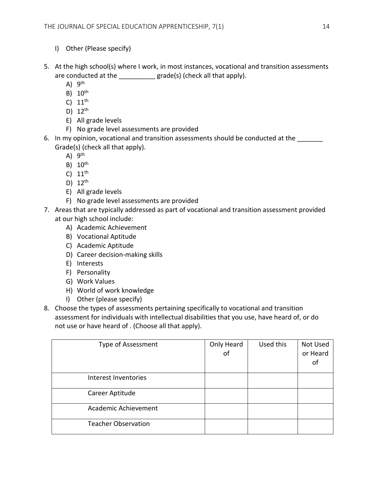- I) Other (Please specify)
- 5. At the high school(s) where I work, in most instances, vocational and transition assessments are conducted at the \_\_\_\_\_\_\_\_\_\_ grade(s) (check all that apply).
	- A)  $9<sup>th</sup>$
	- B)  $10^{\text{th}}$
	- C)  $11<sup>th</sup>$
	- D) 12th
	- E) All grade levels
	- F) No grade level assessments are provided
- 6. In my opinion, vocational and transition assessments should be conducted at the Grade(s) (check all that apply).
	- $A)$  9<sup>th</sup>
	- B) 10th
	- C)  $11^{th}$
	- D) 12th
	- E) All grade levels
	- F) No grade level assessments are provided
- 7. Areas that are typically addressed as part of vocational and transition assessment provided at our high school include:
	- A) Academic Achievement
	- B) Vocational Aptitude
	- C) Academic Aptitude
	- D) Career decision-making skills
	- E) Interests
	- F) Personality
	- G) Work Values
	- H) World of work knowledge
	- I) Other (please specify)
- 8. Choose the types of assessments pertaining specifically to vocational and transition assessment for individuals with intellectual disabilities that you use, have heard of, or do not use or have heard of . (Choose all that apply).

| Type of Assessment         | Only Heard<br>of | Used this | Not Used<br>or Heard<br>οf |
|----------------------------|------------------|-----------|----------------------------|
| Interest Inventories       |                  |           |                            |
| Career Aptitude            |                  |           |                            |
| Academic Achievement       |                  |           |                            |
| <b>Teacher Observation</b> |                  |           |                            |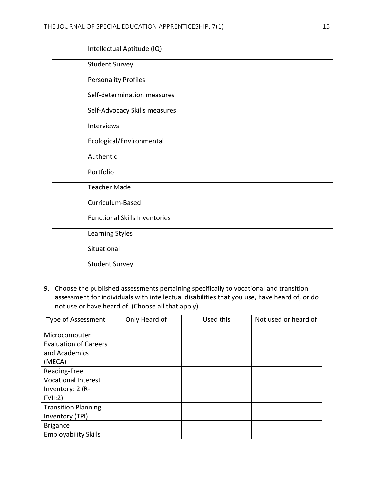| Intellectual Aptitude (IQ)           |  |  |
|--------------------------------------|--|--|
| <b>Student Survey</b>                |  |  |
| <b>Personality Profiles</b>          |  |  |
| Self-determination measures          |  |  |
| Self-Advocacy Skills measures        |  |  |
| Interviews                           |  |  |
| Ecological/Environmental             |  |  |
| Authentic                            |  |  |
| Portfolio                            |  |  |
| <b>Teacher Made</b>                  |  |  |
| Curriculum-Based                     |  |  |
| <b>Functional Skills Inventories</b> |  |  |
| Learning Styles                      |  |  |
| Situational                          |  |  |
| <b>Student Survey</b>                |  |  |

9. Choose the published assessments pertaining specifically to vocational and transition assessment for individuals with intellectual disabilities that you use, have heard of, or do not use or have heard of. (Choose all that apply).

| Type of Assessment                                                        | Only Heard of | Used this | Not used or heard of |
|---------------------------------------------------------------------------|---------------|-----------|----------------------|
| Microcomputer<br><b>Evaluation of Careers</b><br>and Academics<br>(MECA)  |               |           |                      |
| Reading-Free<br><b>Vocational Interest</b><br>Inventory: 2 (R-<br>FVII:2) |               |           |                      |
| <b>Transition Planning</b><br>Inventory (TPI)                             |               |           |                      |
| <b>Brigance</b><br><b>Employability Skills</b>                            |               |           |                      |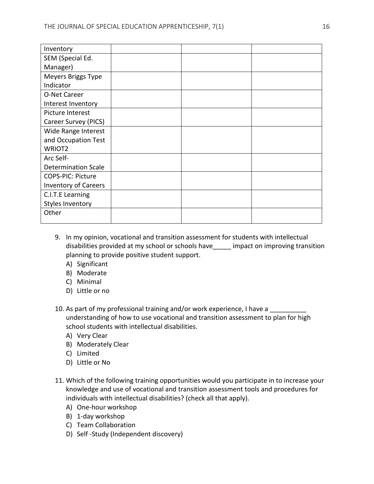| Inventory                   |  |  |
|-----------------------------|--|--|
| SEM (Special Ed.            |  |  |
| Manager)                    |  |  |
| Meyers Briggs Type          |  |  |
| Indicator                   |  |  |
| O-Net Career                |  |  |
| Interest Inventory          |  |  |
| Picture Interest            |  |  |
| Career Survey (PICS)        |  |  |
| Wide Range Interest         |  |  |
| and Occupation Test         |  |  |
| WRIOT <sub>2</sub>          |  |  |
| Arc Self-                   |  |  |
| <b>Determination Scale</b>  |  |  |
| <b>COPS-PIC: Picture</b>    |  |  |
| <b>Inventory of Careers</b> |  |  |
| C.I.T.E Learning            |  |  |
| <b>Styles Inventory</b>     |  |  |
| Other                       |  |  |
|                             |  |  |

- 9. In my opinion, vocational and transition assessment for students with intellectual disabilities provided at my school or schools have impact on improving transition planning to provide positive student support.
	- A) Significant
	- B) Moderate
	- C) Minimal
	- D) Little or no
- 10. As part of my professional training and/or work experience, I have a \_\_\_\_\_\_\_ understanding of how to use vocational and transition assessment to plan for high school students with intellectual disabilities.
	- A) Very Clear
	- B) Moderately Clear
	- C) Limited
	- D) Little or No
- 11. Which of the following training opportunities would you participate in to increase your knowledge and use of vocational and transition assessment tools and procedures for individuals with intellectual disabilities? (check all that apply).
	- A) One-hour workshop
	- B) 1-day workshop
	- C) Team Collaboration
	- D) Self -Study (Independent discovery)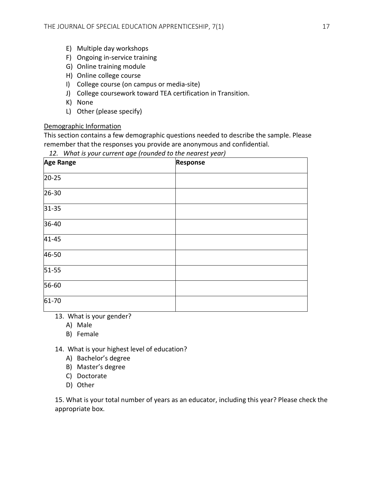- E) Multiple day workshops
- F) Ongoing in-service training
- G) Online training module
- H) Online college course
- I) College course (on campus or media-site)
- J) College coursework toward TEA certification in Transition.
- K) None
- L) Other (please specify)

# Demographic Information

This section contains a few demographic questions needed to describe the sample. Please remember that the responses you provide are anonymous and confidential.

 *12. What is your current age (rounded to the nearest year)*

| <b>Age Range</b> | <b>Response</b> |
|------------------|-----------------|
| $20 - 25$        |                 |
| $26 - 30$        |                 |
| $31 - 35$        |                 |
| 36-40            |                 |
| $41 - 45$        |                 |
| 46-50            |                 |
| $51 - 55$        |                 |
| 56-60            |                 |
| $61 - 70$        |                 |

# 13. What is your gender?

- A) Male
- B) Female
- 14. What is your highest level of education?
	- A) Bachelor's degree
	- B) Master's degree
	- C) Doctorate
	- D) Other

15. What is your total number of years as an educator, including this year? Please check the appropriate box.